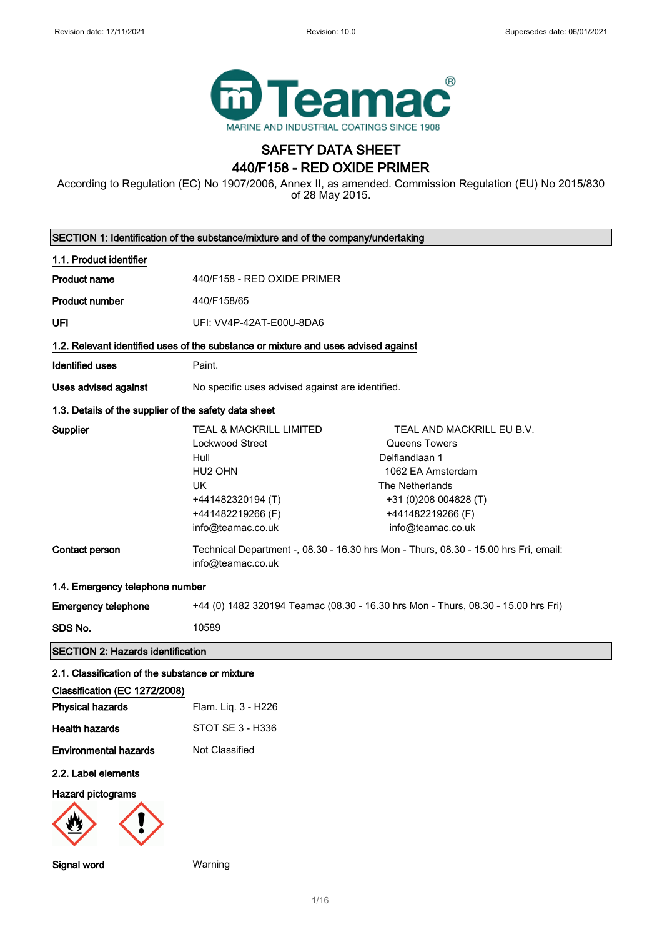

# SAFETY DATA SHEET 440/F158 - RED OXIDE PRIMER

According to Regulation (EC) No 1907/2006, Annex II, as amended. Commission Regulation (EU) No 2015/830 of 28 May 2015.

| SECTION 1: Identification of the substance/mixture and of the company/undertaking  |                                                                                                                                                  |                                                                                                                                                                         |
|------------------------------------------------------------------------------------|--------------------------------------------------------------------------------------------------------------------------------------------------|-------------------------------------------------------------------------------------------------------------------------------------------------------------------------|
| 1.1. Product identifier                                                            |                                                                                                                                                  |                                                                                                                                                                         |
| <b>Product name</b>                                                                | 440/F158 - RED OXIDE PRIMER                                                                                                                      |                                                                                                                                                                         |
| <b>Product number</b>                                                              | 440/F158/65                                                                                                                                      |                                                                                                                                                                         |
| UFI                                                                                | UFI: VV4P-42AT-E00U-8DA6                                                                                                                         |                                                                                                                                                                         |
| 1.2. Relevant identified uses of the substance or mixture and uses advised against |                                                                                                                                                  |                                                                                                                                                                         |
| <b>Identified uses</b>                                                             | Paint.                                                                                                                                           |                                                                                                                                                                         |
| <b>Uses advised against</b>                                                        | No specific uses advised against are identified.                                                                                                 |                                                                                                                                                                         |
| 1.3. Details of the supplier of the safety data sheet                              |                                                                                                                                                  |                                                                                                                                                                         |
| Supplier                                                                           | TEAL & MACKRILL LIMITED<br><b>Lockwood Street</b><br>Hull<br>HU2 OHN<br><b>UK</b><br>+441482320194 (T)<br>+441482219266 (F)<br>info@teamac.co.uk | TEAL AND MACKRILL EU B.V.<br>Queens Towers<br>Delflandlaan 1<br>1062 EA Amsterdam<br>The Netherlands<br>+31 (0)208 004828 (T)<br>+441482219266 (F)<br>info@teamac.co.uk |
| Contact person                                                                     | info@teamac.co.uk                                                                                                                                | Technical Department -, 08.30 - 16.30 hrs Mon - Thurs, 08.30 - 15.00 hrs Fri, email:                                                                                    |
| 1.4. Emergency telephone number                                                    |                                                                                                                                                  |                                                                                                                                                                         |
| <b>Emergency telephone</b>                                                         |                                                                                                                                                  | +44 (0) 1482 320194 Teamac (08.30 - 16.30 hrs Mon - Thurs, 08.30 - 15.00 hrs Fri)                                                                                       |
| SDS No.                                                                            | 10589                                                                                                                                            |                                                                                                                                                                         |
| <b>SECTION 2: Hazards identification</b>                                           |                                                                                                                                                  |                                                                                                                                                                         |
| 2.1. Classification of the substance or mixture                                    |                                                                                                                                                  |                                                                                                                                                                         |
| Classification (EC 1272/2008)                                                      |                                                                                                                                                  |                                                                                                                                                                         |
| <b>Physical hazards</b>                                                            | Flam. Liq. 3 - H226                                                                                                                              |                                                                                                                                                                         |
| <b>Health hazards</b>                                                              | STOT SE 3 - H336                                                                                                                                 |                                                                                                                                                                         |
| <b>Environmental hazards</b>                                                       | Not Classified                                                                                                                                   |                                                                                                                                                                         |
| 2.2. Label elements<br><b>Hazard pictograms</b>                                    |                                                                                                                                                  |                                                                                                                                                                         |
| Signal word                                                                        | Warning                                                                                                                                          |                                                                                                                                                                         |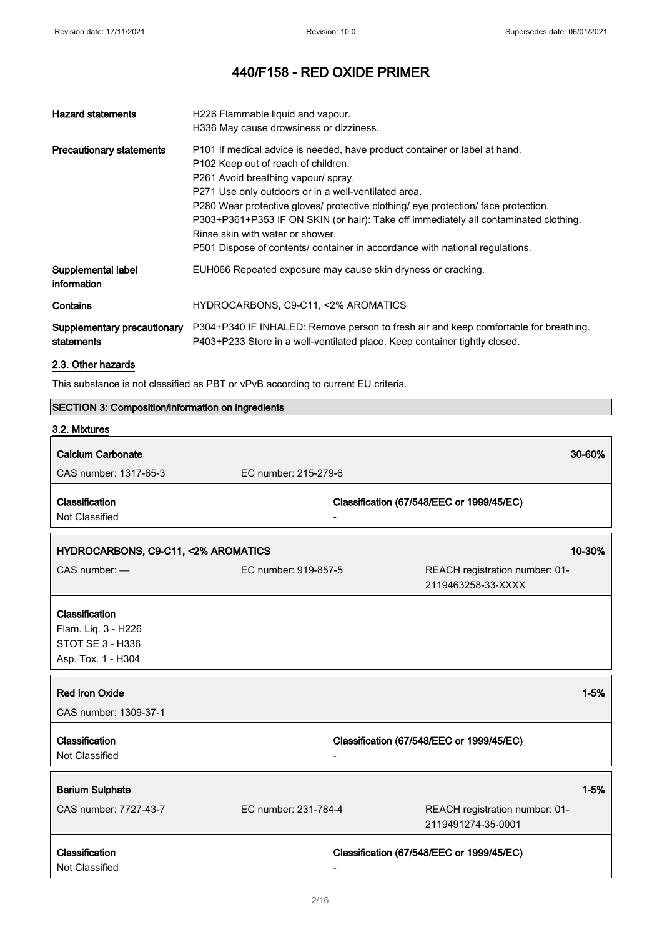| <b>Hazard statements</b>                  | H226 Flammable liquid and vapour.                                                                                                                                                                                                                                                                                                                                                                                                  |
|-------------------------------------------|------------------------------------------------------------------------------------------------------------------------------------------------------------------------------------------------------------------------------------------------------------------------------------------------------------------------------------------------------------------------------------------------------------------------------------|
|                                           | H336 May cause drowsiness or dizziness.                                                                                                                                                                                                                                                                                                                                                                                            |
| <b>Precautionary statements</b>           | P101 If medical advice is needed, have product container or label at hand.<br>P102 Keep out of reach of children.<br>P261 Avoid breathing vapour/ spray.<br>P271 Use only outdoors or in a well-ventilated area.<br>P280 Wear protective gloves/ protective clothing/ eye protection/ face protection.<br>P303+P361+P353 IF ON SKIN (or hair): Take off immediately all contaminated clothing.<br>Rinse skin with water or shower. |
|                                           | P501 Dispose of contents/ container in accordance with national regulations.                                                                                                                                                                                                                                                                                                                                                       |
| Supplemental label<br>information         | EUH066 Repeated exposure may cause skin dryness or cracking.                                                                                                                                                                                                                                                                                                                                                                       |
| Contains                                  | HYDROCARBONS, C9-C11, <2% AROMATICS                                                                                                                                                                                                                                                                                                                                                                                                |
| Supplementary precautionary<br>statements | P304+P340 IF INHALED: Remove person to fresh air and keep comfortable for breathing.<br>P403+P233 Store in a well-ventilated place. Keep container tightly closed.                                                                                                                                                                                                                                                                 |

2.3. Other hazards

This substance is not classified as PBT or vPvB according to current EU criteria.

# SECTION 3: Composition/information on ingredients

| 3.2. Mixtures                                                                   |                      |                                                      |          |
|---------------------------------------------------------------------------------|----------------------|------------------------------------------------------|----------|
| <b>Calcium Carbonate</b>                                                        |                      | 30-60%                                               |          |
| CAS number: 1317-65-3                                                           | EC number: 215-279-6 |                                                      |          |
| Classification<br>Not Classified                                                |                      | Classification (67/548/EEC or 1999/45/EC)            |          |
| HYDROCARBONS, C9-C11, <2% AROMATICS                                             |                      | 10-30%                                               |          |
| CAS number: -                                                                   | EC number: 919-857-5 | REACH registration number: 01-<br>2119463258-33-XXXX |          |
| Classification<br>Flam. Liq. 3 - H226<br>STOT SE 3 - H336<br>Asp. Tox. 1 - H304 |                      |                                                      |          |
| <b>Red Iron Oxide</b><br>CAS number: 1309-37-1                                  |                      |                                                      | $1 - 5%$ |
| Classification<br>Not Classified                                                |                      | Classification (67/548/EEC or 1999/45/EC)            |          |
| <b>Barium Sulphate</b>                                                          |                      |                                                      | $1 - 5%$ |
| CAS number: 7727-43-7                                                           | EC number: 231-784-4 | REACH registration number: 01-<br>2119491274-35-0001 |          |
| Classification<br>Not Classified                                                |                      | Classification (67/548/EEC or 1999/45/EC)            |          |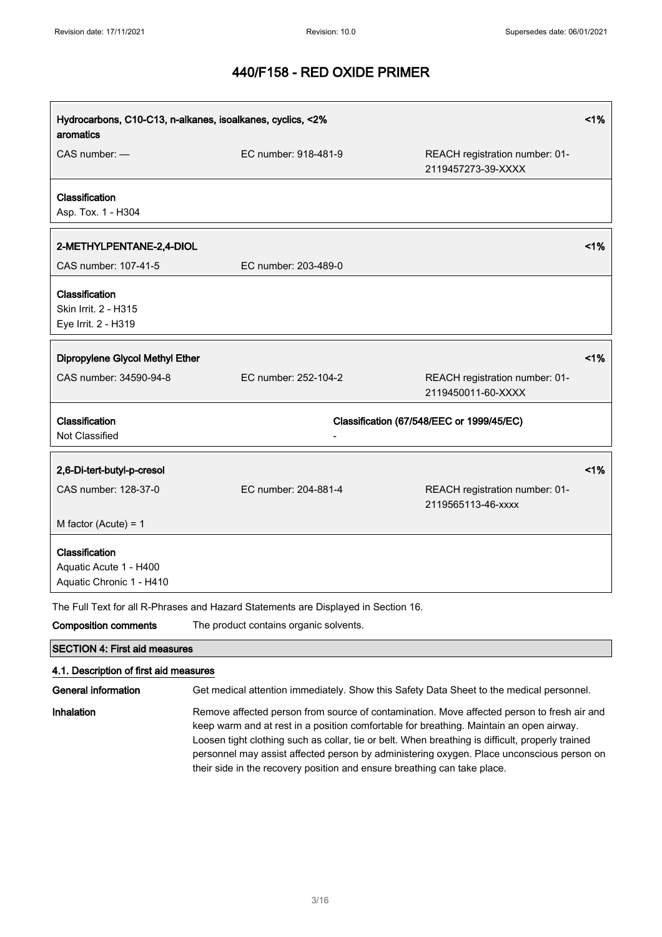| Hydrocarbons, C10-C13, n-alkanes, isoalkanes, cyclics, <2%<br>aromatics |                      |                                                      | 1% |
|-------------------------------------------------------------------------|----------------------|------------------------------------------------------|----|
| $CAS$ number: $-$                                                       | EC number: 918-481-9 | REACH registration number: 01-<br>2119457273-39-XXXX |    |
| Classification<br>Asp. Tox. 1 - H304                                    |                      |                                                      |    |
| 2-METHYLPENTANE-2,4-DIOL                                                |                      |                                                      | 1% |
| CAS number: 107-41-5                                                    | EC number: 203-489-0 |                                                      |    |
| Classification<br>Skin Irrit. 2 - H315<br>Eye Irrit. 2 - H319           |                      |                                                      |    |
| Dipropylene Glycol Methyl Ether                                         |                      |                                                      | 1% |
|                                                                         |                      |                                                      |    |
| CAS number: 34590-94-8                                                  | EC number: 252-104-2 | REACH registration number: 01-<br>2119450011-60-XXXX |    |
| Classification<br>Not Classified                                        |                      | Classification (67/548/EEC or 1999/45/EC)            |    |
| 2,6-Di-tert-butyl-p-cresol                                              |                      |                                                      | 1% |
| CAS number: 128-37-0                                                    | EC number: 204-881-4 | REACH registration number: 01-<br>2119565113-46-xxxx |    |
| M factor (Acute) = $1$                                                  |                      |                                                      |    |
| Classification<br>Aquatic Acute 1 - H400<br>Aquatic Chronic 1 - H410    |                      |                                                      |    |

Composition comments The product contains organic solvents. SECTION 4: First aid measures

# 4.1. Description of first aid measures

General information Get medical attention immediately. Show this Safety Data Sheet to the medical personnel.

Inhalation Remove affected person from source of contamination. Move affected person to fresh air and keep warm and at rest in a position comfortable for breathing. Maintain an open airway. Loosen tight clothing such as collar, tie or belt. When breathing is difficult, properly trained personnel may assist affected person by administering oxygen. Place unconscious person on their side in the recovery position and ensure breathing can take place.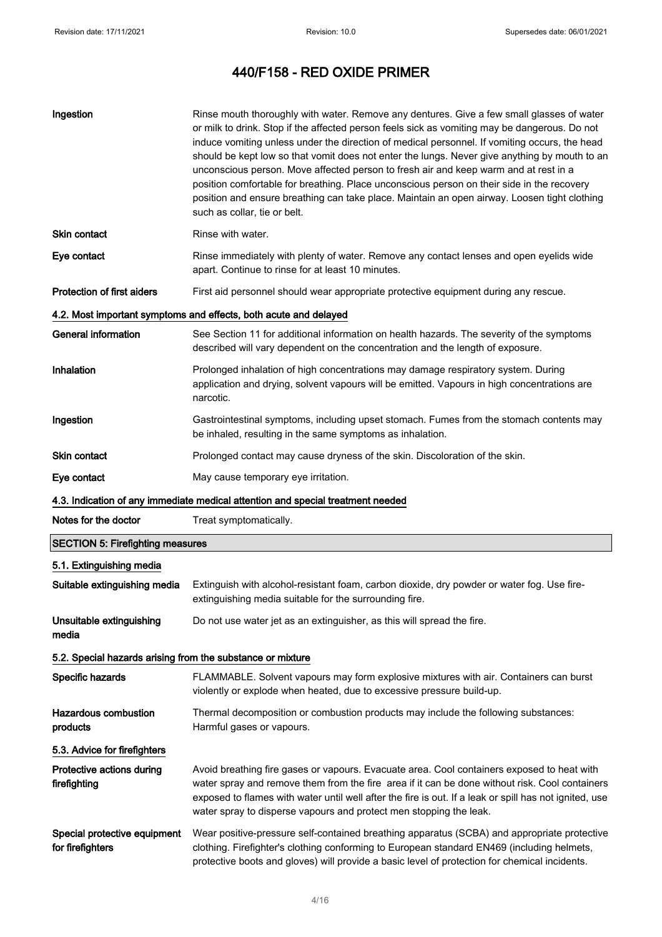| Ingestion                                                  | Rinse mouth thoroughly with water. Remove any dentures. Give a few small glasses of water<br>or milk to drink. Stop if the affected person feels sick as vomiting may be dangerous. Do not<br>induce vomiting unless under the direction of medical personnel. If vomiting occurs, the head<br>should be kept low so that vomit does not enter the lungs. Never give anything by mouth to an<br>unconscious person. Move affected person to fresh air and keep warm and at rest in a<br>position comfortable for breathing. Place unconscious person on their side in the recovery<br>position and ensure breathing can take place. Maintain an open airway. Loosen tight clothing<br>such as collar, tie or belt. |
|------------------------------------------------------------|--------------------------------------------------------------------------------------------------------------------------------------------------------------------------------------------------------------------------------------------------------------------------------------------------------------------------------------------------------------------------------------------------------------------------------------------------------------------------------------------------------------------------------------------------------------------------------------------------------------------------------------------------------------------------------------------------------------------|
| <b>Skin contact</b>                                        | Rinse with water.                                                                                                                                                                                                                                                                                                                                                                                                                                                                                                                                                                                                                                                                                                  |
| Eye contact                                                | Rinse immediately with plenty of water. Remove any contact lenses and open eyelids wide<br>apart. Continue to rinse for at least 10 minutes.                                                                                                                                                                                                                                                                                                                                                                                                                                                                                                                                                                       |
| <b>Protection of first aiders</b>                          | First aid personnel should wear appropriate protective equipment during any rescue.                                                                                                                                                                                                                                                                                                                                                                                                                                                                                                                                                                                                                                |
|                                                            | 4.2. Most important symptoms and effects, both acute and delayed                                                                                                                                                                                                                                                                                                                                                                                                                                                                                                                                                                                                                                                   |
| <b>General information</b>                                 | See Section 11 for additional information on health hazards. The severity of the symptoms<br>described will vary dependent on the concentration and the length of exposure.                                                                                                                                                                                                                                                                                                                                                                                                                                                                                                                                        |
| Inhalation                                                 | Prolonged inhalation of high concentrations may damage respiratory system. During<br>application and drying, solvent vapours will be emitted. Vapours in high concentrations are<br>narcotic.                                                                                                                                                                                                                                                                                                                                                                                                                                                                                                                      |
| Ingestion                                                  | Gastrointestinal symptoms, including upset stomach. Fumes from the stomach contents may<br>be inhaled, resulting in the same symptoms as inhalation.                                                                                                                                                                                                                                                                                                                                                                                                                                                                                                                                                               |
| Skin contact                                               | Prolonged contact may cause dryness of the skin. Discoloration of the skin.                                                                                                                                                                                                                                                                                                                                                                                                                                                                                                                                                                                                                                        |
| Eye contact                                                | May cause temporary eye irritation.                                                                                                                                                                                                                                                                                                                                                                                                                                                                                                                                                                                                                                                                                |
|                                                            | 4.3. Indication of any immediate medical attention and special treatment needed                                                                                                                                                                                                                                                                                                                                                                                                                                                                                                                                                                                                                                    |
|                                                            | Treat symptomatically.                                                                                                                                                                                                                                                                                                                                                                                                                                                                                                                                                                                                                                                                                             |
| Notes for the doctor                                       |                                                                                                                                                                                                                                                                                                                                                                                                                                                                                                                                                                                                                                                                                                                    |
| <b>SECTION 5: Firefighting measures</b>                    |                                                                                                                                                                                                                                                                                                                                                                                                                                                                                                                                                                                                                                                                                                                    |
| 5.1. Extinguishing media                                   |                                                                                                                                                                                                                                                                                                                                                                                                                                                                                                                                                                                                                                                                                                                    |
| Suitable extinguishing media                               | Extinguish with alcohol-resistant foam, carbon dioxide, dry powder or water fog. Use fire-<br>extinguishing media suitable for the surrounding fire.                                                                                                                                                                                                                                                                                                                                                                                                                                                                                                                                                               |
| Unsuitable extinguishing<br>media                          | Do not use water jet as an extinguisher, as this will spread the fire.                                                                                                                                                                                                                                                                                                                                                                                                                                                                                                                                                                                                                                             |
| 5.2. Special hazards arising from the substance or mixture |                                                                                                                                                                                                                                                                                                                                                                                                                                                                                                                                                                                                                                                                                                                    |
| Specific hazards                                           | FLAMMABLE. Solvent vapours may form explosive mixtures with air. Containers can burst<br>violently or explode when heated, due to excessive pressure build-up.                                                                                                                                                                                                                                                                                                                                                                                                                                                                                                                                                     |
| <b>Hazardous combustion</b><br>products                    | Thermal decomposition or combustion products may include the following substances:<br>Harmful gases or vapours.                                                                                                                                                                                                                                                                                                                                                                                                                                                                                                                                                                                                    |
| 5.3. Advice for firefighters                               |                                                                                                                                                                                                                                                                                                                                                                                                                                                                                                                                                                                                                                                                                                                    |
| Protective actions during<br>firefighting                  | Avoid breathing fire gases or vapours. Evacuate area. Cool containers exposed to heat with<br>water spray and remove them from the fire area if it can be done without risk. Cool containers<br>exposed to flames with water until well after the fire is out. If a leak or spill has not ignited, use<br>water spray to disperse vapours and protect men stopping the leak.                                                                                                                                                                                                                                                                                                                                       |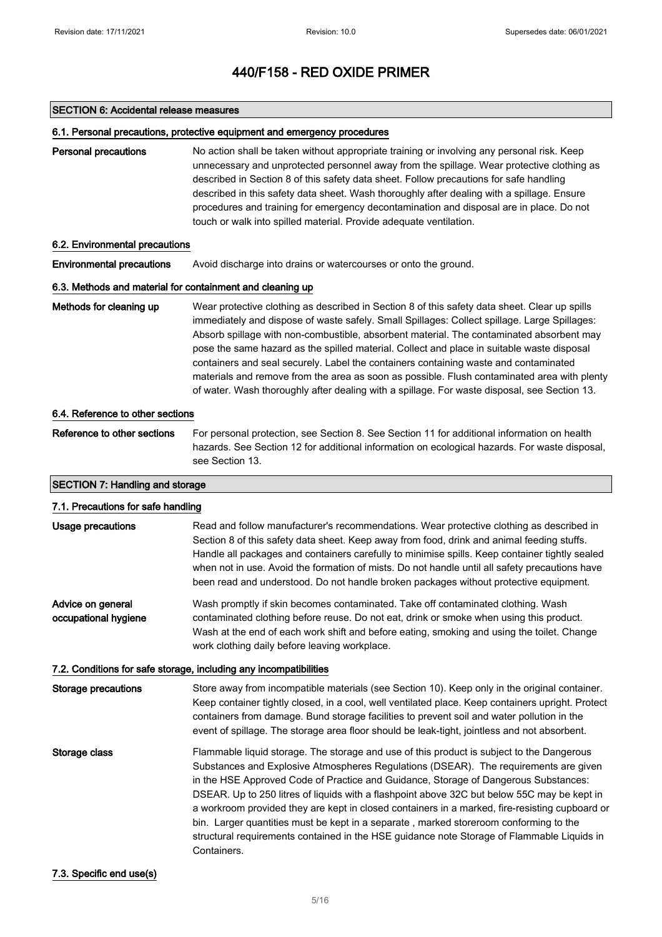#### SECTION 6: Accidental release measures

#### 6.1. Personal precautions, protective equipment and emergency procedures

Personal precautions No action shall be taken without appropriate training or involving any personal risk. Keep unnecessary and unprotected personnel away from the spillage. Wear protective clothing as described in Section 8 of this safety data sheet. Follow precautions for safe handling described in this safety data sheet. Wash thoroughly after dealing with a spillage. Ensure procedures and training for emergency decontamination and disposal are in place. Do not touch or walk into spilled material. Provide adequate ventilation.

#### 6.2. Environmental precautions

Environmental precautions Avoid discharge into drains or watercourses or onto the ground.

#### 6.3. Methods and material for containment and cleaning up

Methods for cleaning up Wear protective clothing as described in Section 8 of this safety data sheet. Clear up spills immediately and dispose of waste safely. Small Spillages: Collect spillage. Large Spillages: Absorb spillage with non-combustible, absorbent material. The contaminated absorbent may pose the same hazard as the spilled material. Collect and place in suitable waste disposal containers and seal securely. Label the containers containing waste and contaminated materials and remove from the area as soon as possible. Flush contaminated area with plenty of water. Wash thoroughly after dealing with a spillage. For waste disposal, see Section 13.

#### 6.4. Reference to other sections

Reference to other sections For personal protection, see Section 8. See Section 11 for additional information on health hazards. See Section 12 for additional information on ecological hazards. For waste disposal, see Section 13.

### SECTION 7: Handling and storage

| 7.1. Precautions for safe handling        |                                                                                                                                                                                                                                                                                                                                                                                                                                                                                                                                                                                                                                                                                 |  |
|-------------------------------------------|---------------------------------------------------------------------------------------------------------------------------------------------------------------------------------------------------------------------------------------------------------------------------------------------------------------------------------------------------------------------------------------------------------------------------------------------------------------------------------------------------------------------------------------------------------------------------------------------------------------------------------------------------------------------------------|--|
| Usage precautions                         | Read and follow manufacturer's recommendations. Wear protective clothing as described in<br>Section 8 of this safety data sheet. Keep away from food, drink and animal feeding stuffs.<br>Handle all packages and containers carefully to minimise spills. Keep container tightly sealed<br>when not in use. Avoid the formation of mists. Do not handle until all safety precautions have<br>been read and understood. Do not handle broken packages without protective equipment.                                                                                                                                                                                             |  |
| Advice on general<br>occupational hygiene | Wash promptly if skin becomes contaminated. Take off contaminated clothing. Wash<br>contaminated clothing before reuse. Do not eat, drink or smoke when using this product.<br>Wash at the end of each work shift and before eating, smoking and using the toilet. Change<br>work clothing daily before leaving workplace.                                                                                                                                                                                                                                                                                                                                                      |  |
|                                           | 7.2. Conditions for safe storage, including any incompatibilities                                                                                                                                                                                                                                                                                                                                                                                                                                                                                                                                                                                                               |  |
| Storage precautions                       | Store away from incompatible materials (see Section 10). Keep only in the original container.<br>Keep container tightly closed, in a cool, well ventilated place. Keep containers upright. Protect<br>containers from damage. Bund storage facilities to prevent soil and water pollution in the<br>event of spillage. The storage area floor should be leak-tight, jointless and not absorbent.                                                                                                                                                                                                                                                                                |  |
| Storage class                             | Flammable liquid storage. The storage and use of this product is subject to the Dangerous<br>Substances and Explosive Atmospheres Regulations (DSEAR). The requirements are given<br>in the HSE Approved Code of Practice and Guidance, Storage of Dangerous Substances:<br>DSEAR. Up to 250 litres of liquids with a flashpoint above 32C but below 55C may be kept in<br>a workroom provided they are kept in closed containers in a marked, fire-resisting cupboard or<br>bin. Larger quantities must be kept in a separate, marked storeroom conforming to the<br>structural requirements contained in the HSE guidance note Storage of Flammable Liquids in<br>Containers. |  |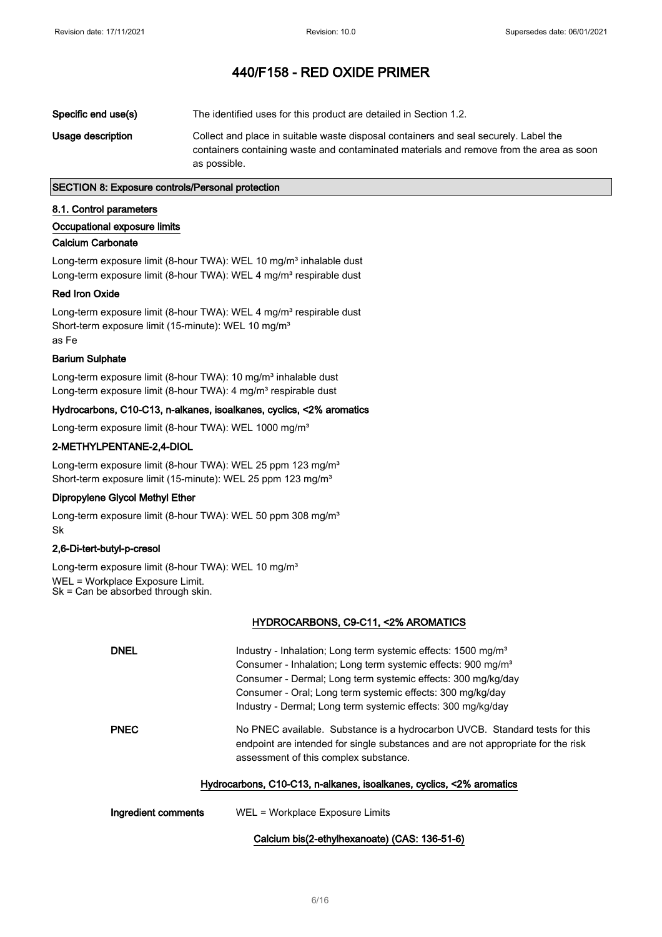| Specific end use(s) | The identified uses for this product are detailed in Section 1.2.                                                                                                                               |
|---------------------|-------------------------------------------------------------------------------------------------------------------------------------------------------------------------------------------------|
| Usage description   | Collect and place in suitable waste disposal containers and seal securely. Label the<br>containers containing waste and contaminated materials and remove from the area as soon<br>as possible. |

# SECTION 8: Exposure controls/Personal protection

#### 8.1. Control parameters

## Occupational exposure limits

#### Calcium Carbonate

Long-term exposure limit (8-hour TWA): WEL 10 mg/m<sup>3</sup> inhalable dust Long-term exposure limit (8-hour TWA): WEL 4 mg/m<sup>3</sup> respirable dust

#### Red Iron Oxide

Long-term exposure limit (8-hour TWA): WEL 4 mg/m<sup>3</sup> respirable dust Short-term exposure limit (15-minute): WEL 10 mg/m<sup>3</sup> as Fe

#### Barium Sulphate

Long-term exposure limit (8-hour TWA): 10 mg/m<sup>3</sup> inhalable dust Long-term exposure limit (8-hour TWA): 4 mg/m<sup>3</sup> respirable dust

## Hydrocarbons, C10-C13, n-alkanes, isoalkanes, cyclics, <2% aromatics

Long-term exposure limit (8-hour TWA): WEL 1000 mg/m<sup>3</sup>

## 2-METHYLPENTANE-2,4-DIOL

Long-term exposure limit (8-hour TWA): WEL 25 ppm 123 mg/m<sup>3</sup> Short-term exposure limit (15-minute): WEL 25 ppm 123 mg/m<sup>3</sup>

## Dipropylene Glycol Methyl Ether

Long-term exposure limit (8-hour TWA): WEL 50 ppm 308 mg/m<sup>3</sup> Sk

# 2,6-Di-tert-butyl-p-cresol

Long-term exposure limit (8-hour TWA): WEL 10 mg/m<sup>3</sup> WEL = Workplace Exposure Limit. Sk = Can be absorbed through skin.

# HYDROCARBONS, C9-C11, <2% AROMATICS

| <b>DNEL</b>         | Industry - Inhalation; Long term systemic effects: 1500 mg/m <sup>3</sup><br>Consumer - Inhalation; Long term systemic effects: 900 mg/m <sup>3</sup><br>Consumer - Dermal; Long term systemic effects: 300 mg/kg/day<br>Consumer - Oral: Long term systemic effects: 300 mg/kg/day<br>Industry - Dermal; Long term systemic effects: 300 mg/kg/day |
|---------------------|-----------------------------------------------------------------------------------------------------------------------------------------------------------------------------------------------------------------------------------------------------------------------------------------------------------------------------------------------------|
| <b>PNEC</b>         | No PNEC available. Substance is a hydrocarbon UVCB. Standard tests for this<br>endpoint are intended for single substances and are not appropriate for the risk<br>assessment of this complex substance.<br>Hydrocarbons, C10-C13, n-alkanes, isoalkanes, cyclics, <2% aromatics                                                                    |
| Ingredient comments | WEL = Workplace Exposure Limits                                                                                                                                                                                                                                                                                                                     |

## Calcium bis(2-ethylhexanoate) (CAS: 136-51-6)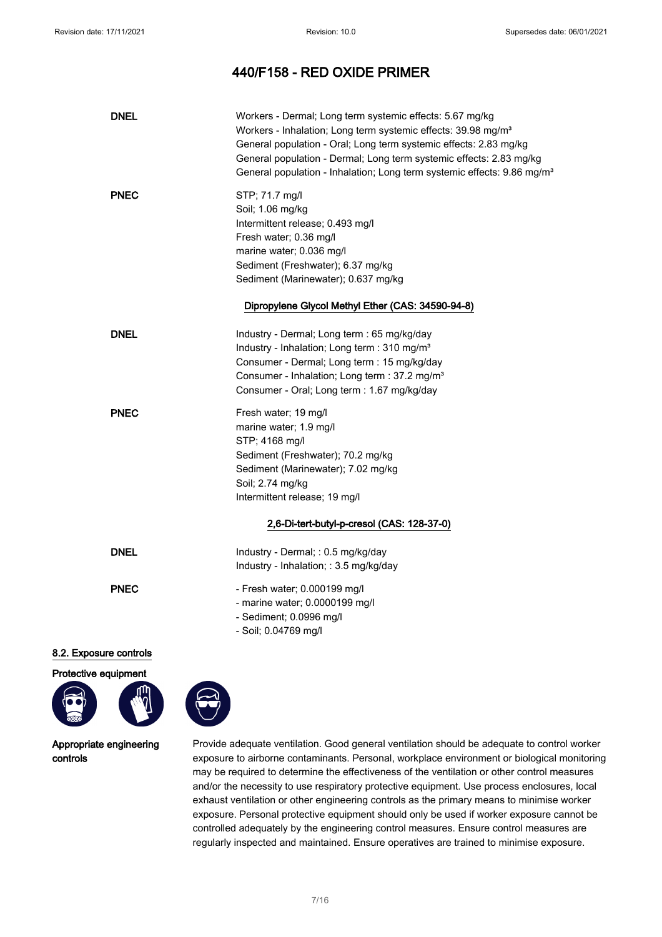| <b>DNEL</b>                | Workers - Dermal; Long term systemic effects: 5.67 mg/kg<br>Workers - Inhalation; Long term systemic effects: 39.98 mg/m <sup>3</sup><br>General population - Oral; Long term systemic effects: 2.83 mg/kg<br>General population - Dermal; Long term systemic effects: 2.83 mg/kg<br>General population - Inhalation; Long term systemic effects: 9.86 mg/m <sup>3</sup> |
|----------------------------|--------------------------------------------------------------------------------------------------------------------------------------------------------------------------------------------------------------------------------------------------------------------------------------------------------------------------------------------------------------------------|
| <b>PNEC</b>                | STP; 71.7 mg/l<br>Soil; 1.06 mg/kg<br>Intermittent release; 0.493 mg/l<br>Fresh water; 0.36 mg/l<br>marine water; 0.036 mg/l<br>Sediment (Freshwater); 6.37 mg/kg<br>Sediment (Marinewater); 0.637 mg/kg<br>Dipropylene Glycol Methyl Ether (CAS: 34590-94-8)                                                                                                            |
|                            |                                                                                                                                                                                                                                                                                                                                                                          |
| <b>DNEL</b><br><b>PNEC</b> | Industry - Dermal; Long term : 65 mg/kg/day<br>Industry - Inhalation; Long term : 310 mg/m <sup>3</sup><br>Consumer - Dermal; Long term : 15 mg/kg/day<br>Consumer - Inhalation; Long term : 37.2 mg/m <sup>3</sup><br>Consumer - Oral; Long term : 1.67 mg/kg/day<br>Fresh water; 19 mg/l                                                                               |
|                            | marine water; 1.9 mg/l<br>STP: 4168 mg/l<br>Sediment (Freshwater); 70.2 mg/kg<br>Sediment (Marinewater); 7.02 mg/kg<br>Soil; 2.74 mg/kg<br>Intermittent release; 19 mg/l                                                                                                                                                                                                 |
|                            | 2,6-Di-tert-butyl-p-cresol (CAS: 128-37-0)                                                                                                                                                                                                                                                                                                                               |
| <b>DNEL</b>                | Industry - Dermal; : 0.5 mg/kg/day<br>Industry - Inhalation; : 3.5 mg/kg/day                                                                                                                                                                                                                                                                                             |
| <b>PNEC</b>                | - Fresh water; 0.000199 mg/l<br>- marine water; 0.0000199 mg/l<br>- Sediment; 0.0996 mg/l<br>- Soil; 0.04769 mg/l                                                                                                                                                                                                                                                        |
| ua controlo                |                                                                                                                                                                                                                                                                                                                                                                          |

# 8.2. Exposure controls

Protective equipment



Appropriate engineering controls

Provide adequate ventilation. Good general ventilation should be adequate to control worker exposure to airborne contaminants. Personal, workplace environment or biological monitoring may be required to determine the effectiveness of the ventilation or other control measures and/or the necessity to use respiratory protective equipment. Use process enclosures, local exhaust ventilation or other engineering controls as the primary means to minimise worker exposure. Personal protective equipment should only be used if worker exposure cannot be controlled adequately by the engineering control measures. Ensure control measures are regularly inspected and maintained. Ensure operatives are trained to minimise exposure.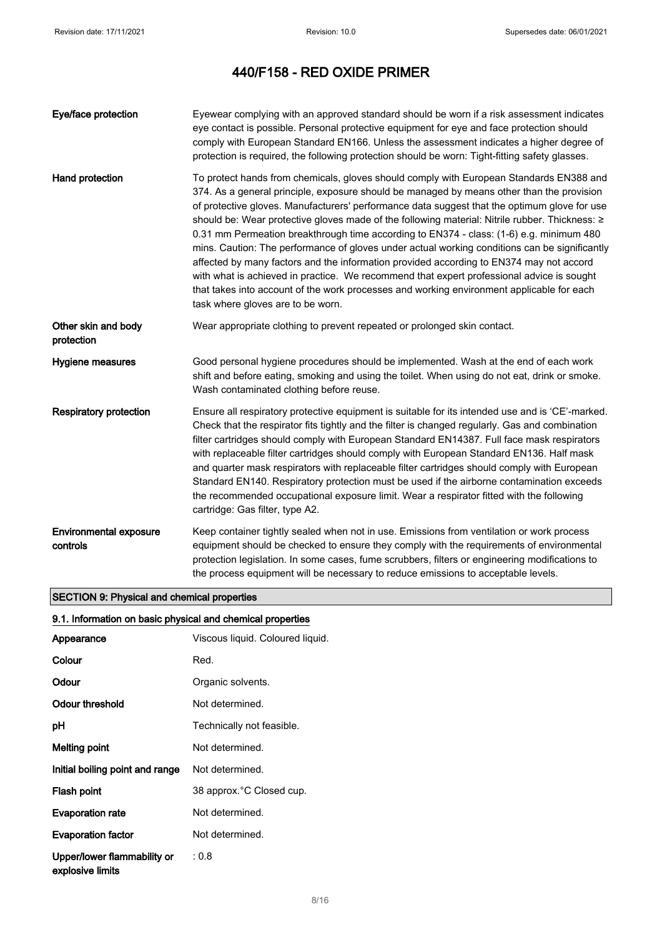| Eye/face protection                       | Eyewear complying with an approved standard should be worn if a risk assessment indicates<br>eye contact is possible. Personal protective equipment for eye and face protection should<br>comply with European Standard EN166. Unless the assessment indicates a higher degree of<br>protection is required, the following protection should be worn: Tight-fitting safety glasses.                                                                                                                                                                                                                                                                                                                                                                                                                                                                                                                          |
|-------------------------------------------|--------------------------------------------------------------------------------------------------------------------------------------------------------------------------------------------------------------------------------------------------------------------------------------------------------------------------------------------------------------------------------------------------------------------------------------------------------------------------------------------------------------------------------------------------------------------------------------------------------------------------------------------------------------------------------------------------------------------------------------------------------------------------------------------------------------------------------------------------------------------------------------------------------------|
| Hand protection                           | To protect hands from chemicals, gloves should comply with European Standards EN388 and<br>374. As a general principle, exposure should be managed by means other than the provision<br>of protective gloves. Manufacturers' performance data suggest that the optimum glove for use<br>should be: Wear protective gloves made of the following material: Nitrile rubber. Thickness: ≥<br>0.31 mm Permeation breakthrough time according to EN374 - class: (1-6) e.g. minimum 480<br>mins. Caution: The performance of gloves under actual working conditions can be significantly<br>affected by many factors and the information provided according to EN374 may not accord<br>with what is achieved in practice. We recommend that expert professional advice is sought<br>that takes into account of the work processes and working environment applicable for each<br>task where gloves are to be worn. |
| Other skin and body<br>protection         | Wear appropriate clothing to prevent repeated or prolonged skin contact.                                                                                                                                                                                                                                                                                                                                                                                                                                                                                                                                                                                                                                                                                                                                                                                                                                     |
| Hygiene measures                          | Good personal hygiene procedures should be implemented. Wash at the end of each work<br>shift and before eating, smoking and using the toilet. When using do not eat, drink or smoke.<br>Wash contaminated clothing before reuse.                                                                                                                                                                                                                                                                                                                                                                                                                                                                                                                                                                                                                                                                            |
| <b>Respiratory protection</b>             | Ensure all respiratory protective equipment is suitable for its intended use and is 'CE'-marked.<br>Check that the respirator fits tightly and the filter is changed regularly. Gas and combination<br>filter cartridges should comply with European Standard EN14387. Full face mask respirators<br>with replaceable filter cartridges should comply with European Standard EN136. Half mask<br>and quarter mask respirators with replaceable filter cartridges should comply with European<br>Standard EN140. Respiratory protection must be used if the airborne contamination exceeds<br>the recommended occupational exposure limit. Wear a respirator fitted with the following<br>cartridge: Gas filter, type A2.                                                                                                                                                                                     |
| <b>Environmental exposure</b><br>controls | Keep container tightly sealed when not in use. Emissions from ventilation or work process<br>equipment should be checked to ensure they comply with the requirements of environmental<br>protection legislation. In some cases, fume scrubbers, filters or engineering modifications to<br>the process equipment will be necessary to reduce emissions to acceptable levels.                                                                                                                                                                                                                                                                                                                                                                                                                                                                                                                                 |

# SECTION 9: Physical and chemical properties

# 9.1. Information on basic physical and chemical properties

| Appearance                                      | Viscous liquid. Coloured liquid. |
|-------------------------------------------------|----------------------------------|
| Colour                                          | Red.                             |
| Odour                                           | Organic solvents.                |
| Odour threshold                                 | Not determined.                  |
| рH                                              | Technically not feasible.        |
| Melting point                                   | Not determined.                  |
| Initial boiling point and range                 | Not determined.                  |
| Flash point                                     | 38 approx. °C Closed cup.        |
| <b>Evaporation rate</b>                         | Not determined.                  |
| <b>Evaporation factor</b>                       | Not determined.                  |
| Upper/lower flammability or<br>explosive limits | : 0.8                            |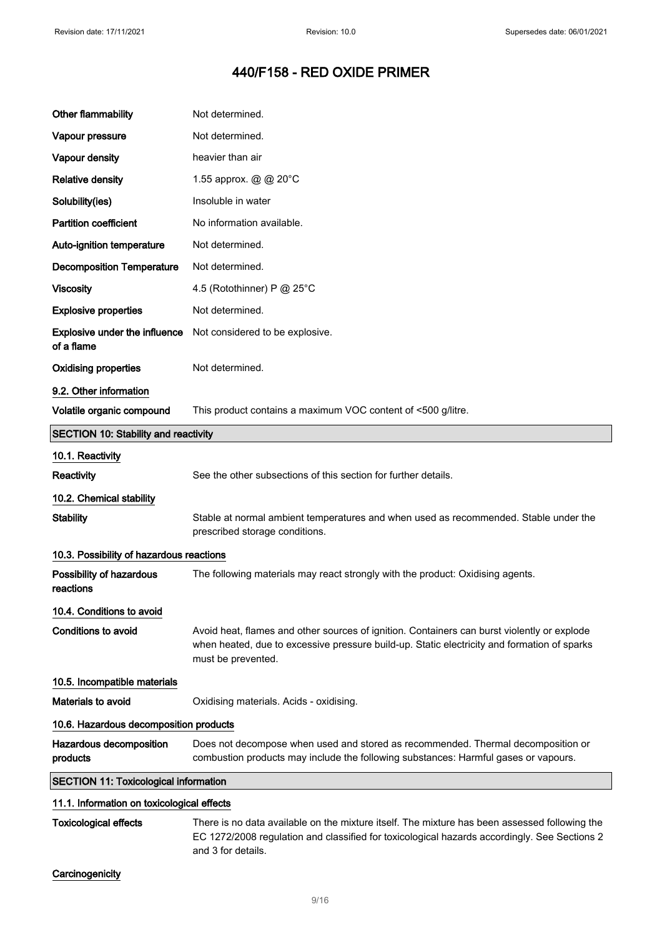| <b>Other flammability</b>                    | Not determined.                                                                                                                                                                                                  |
|----------------------------------------------|------------------------------------------------------------------------------------------------------------------------------------------------------------------------------------------------------------------|
| Vapour pressure                              | Not determined.                                                                                                                                                                                                  |
| Vapour density                               | heavier than air                                                                                                                                                                                                 |
| <b>Relative density</b>                      | 1.55 approx. @ @ 20°C                                                                                                                                                                                            |
| Solubility(ies)                              | Insoluble in water                                                                                                                                                                                               |
| <b>Partition coefficient</b>                 | No information available.                                                                                                                                                                                        |
| Auto-ignition temperature                    | Not determined.                                                                                                                                                                                                  |
| <b>Decomposition Temperature</b>             | Not determined.                                                                                                                                                                                                  |
| <b>Viscosity</b>                             | 4.5 (Rotothinner) P @ 25°C                                                                                                                                                                                       |
| <b>Explosive properties</b>                  | Not determined.                                                                                                                                                                                                  |
| Explosive under the influence<br>of a flame  | Not considered to be explosive.                                                                                                                                                                                  |
| <b>Oxidising properties</b>                  | Not determined.                                                                                                                                                                                                  |
| 9.2. Other information                       |                                                                                                                                                                                                                  |
| Volatile organic compound                    | This product contains a maximum VOC content of <500 g/litre.                                                                                                                                                     |
| <b>SECTION 10: Stability and reactivity</b>  |                                                                                                                                                                                                                  |
| 10.1. Reactivity                             |                                                                                                                                                                                                                  |
| Reactivity                                   | See the other subsections of this section for further details.                                                                                                                                                   |
| 10.2. Chemical stability                     |                                                                                                                                                                                                                  |
| <b>Stability</b>                             | Stable at normal ambient temperatures and when used as recommended. Stable under the<br>prescribed storage conditions.                                                                                           |
| 10.3. Possibility of hazardous reactions     |                                                                                                                                                                                                                  |
| Possibility of hazardous<br>reactions        | The following materials may react strongly with the product: Oxidising agents.                                                                                                                                   |
| 10.4. Conditions to avoid                    |                                                                                                                                                                                                                  |
| <b>Conditions to avoid</b>                   | Avoid heat, flames and other sources of ignition. Containers can burst violently or explode<br>when heated, due to excessive pressure build-up. Static electricity and formation of sparks<br>must be prevented. |
| 10.5. Incompatible materials                 |                                                                                                                                                                                                                  |
| <b>Materials to avoid</b>                    | Oxidising materials. Acids - oxidising.                                                                                                                                                                          |
| 10.6. Hazardous decomposition products       |                                                                                                                                                                                                                  |
| Hazardous decomposition<br>products          | Does not decompose when used and stored as recommended. Thermal decomposition or<br>combustion products may include the following substances: Harmful gases or vapours.                                          |
| <b>SECTION 11: Toxicological information</b> |                                                                                                                                                                                                                  |
| 11.1. Information on toxicological effects   |                                                                                                                                                                                                                  |

Toxicological effects There is no data available on the mixture itself. The mixture has been assessed following the EC 1272/2008 regulation and classified for toxicological hazards accordingly. See Sections 2 and 3 for details.

# **Carcinogenicity**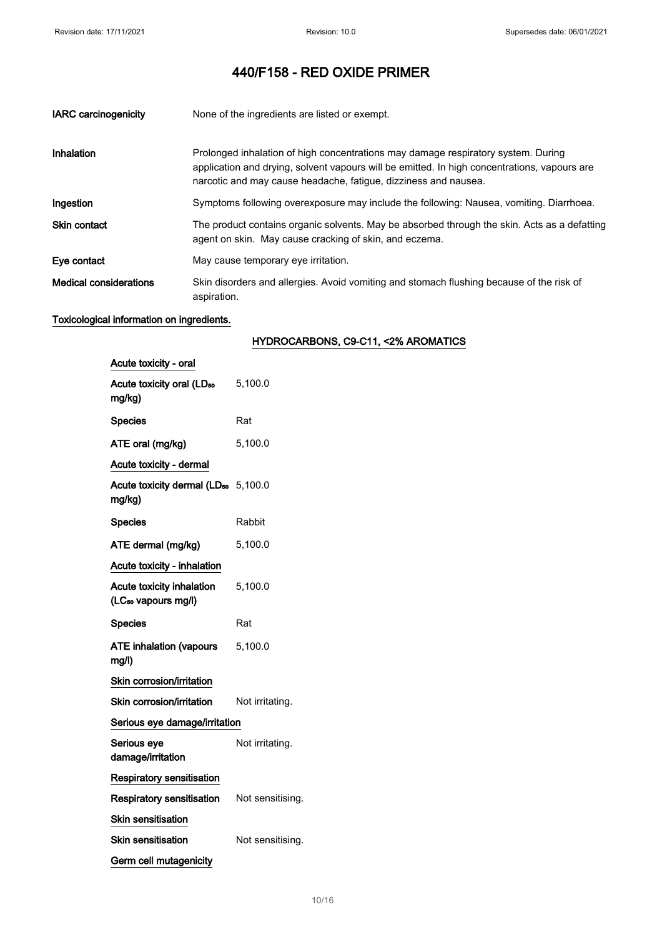| <b>IARC</b> carcinogenicity   | None of the ingredients are listed or exempt.                                                                                                                                                                                                        |
|-------------------------------|------------------------------------------------------------------------------------------------------------------------------------------------------------------------------------------------------------------------------------------------------|
| Inhalation                    | Prolonged inhalation of high concentrations may damage respiratory system. During<br>application and drying, solvent vapours will be emitted. In high concentrations, vapours are<br>narcotic and may cause headache, fatigue, dizziness and nausea. |
| Ingestion                     | Symptoms following overexposure may include the following: Nausea, vomiting. Diarrhoea.                                                                                                                                                              |
| <b>Skin contact</b>           | The product contains organic solvents. May be absorbed through the skin. Acts as a defatting<br>agent on skin. May cause cracking of skin, and eczema.                                                                                               |
| Eye contact                   | May cause temporary eye irritation.                                                                                                                                                                                                                  |
| <b>Medical considerations</b> | Skin disorders and allergies. Avoid vomiting and stomach flushing because of the risk of<br>aspiration.                                                                                                                                              |

# Toxicological information on ingredients.

# HYDROCARBONS, C9-C11, <2% AROMATICS

| Acute toxicity - oral                                        |                  |
|--------------------------------------------------------------|------------------|
| Acute toxicity oral (LD <sub>50</sub><br>mg/kg)              | 5,100.0          |
| <b>Species</b>                                               | Rat              |
| ATE oral (mg/kg)                                             | 5,100.0          |
| Acute toxicity - dermal                                      |                  |
| Acute toxicity dermal (LD <sub>50</sub> 5,100.0<br>mg/kg)    |                  |
| <b>Species</b>                                               | Rabbit           |
| ATE dermal (mg/kg)                                           | 5,100.0          |
| Acute toxicity - inhalation                                  |                  |
| Acute toxicity inhalation<br>(LC <sub>so</sub> vapours mg/l) | 5,100.0          |
| <b>Species</b>                                               | Rat              |
| <b>ATE inhalation (vapours</b><br>mg/l)                      | 5,100.0          |
| Skin corrosion/irritation                                    |                  |
| Skin corrosion/irritation                                    | Not irritating.  |
| Serious eye damage/irritation                                |                  |
| Serious eye<br>damage/irritation                             | Not irritating.  |
| <b>Respiratory sensitisation</b>                             |                  |
| <b>Respiratory sensitisation</b>                             | Not sensitising. |
| <b>Skin sensitisation</b>                                    |                  |
| <b>Skin sensitisation</b>                                    | Not sensitising. |
| Germ cell mutagenicity                                       |                  |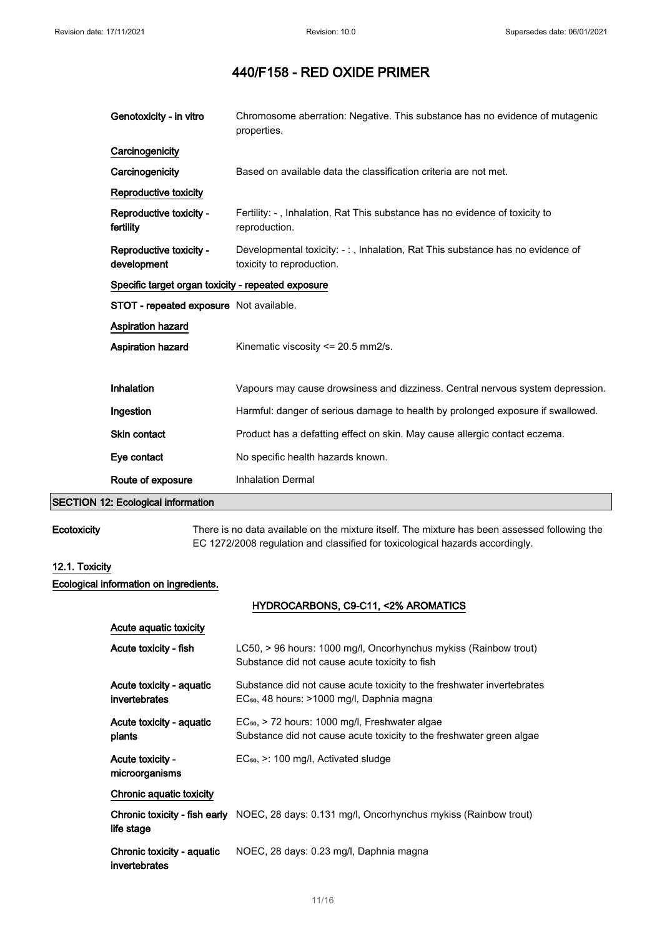| Genotoxicity - in vitro                            | Chromosome aberration: Negative. This substance has no evidence of mutagenic<br>properties.                |  |
|----------------------------------------------------|------------------------------------------------------------------------------------------------------------|--|
| Carcinogenicity                                    |                                                                                                            |  |
| Carcinogenicity                                    | Based on available data the classification criteria are not met.                                           |  |
| Reproductive toxicity                              |                                                                                                            |  |
| Reproductive toxicity -<br>fertility               | Fertility: -, Inhalation, Rat This substance has no evidence of toxicity to<br>reproduction.               |  |
| Reproductive toxicity -<br>development             | Developmental toxicity: -:, Inhalation, Rat This substance has no evidence of<br>toxicity to reproduction. |  |
| Specific target organ toxicity - repeated exposure |                                                                                                            |  |
| <b>STOT - repeated exposure</b> Not available.     |                                                                                                            |  |
| <b>Aspiration hazard</b>                           |                                                                                                            |  |
| <b>Aspiration hazard</b>                           | Kinematic viscosity <= 20.5 mm2/s.                                                                         |  |
|                                                    |                                                                                                            |  |
| <b>Inhalation</b>                                  | Vapours may cause drowsiness and dizziness. Central nervous system depression.                             |  |
| Ingestion                                          | Harmful: danger of serious damage to health by prolonged exposure if swallowed.                            |  |
| <b>Skin contact</b>                                | Product has a defatting effect on skin. May cause allergic contact eczema.                                 |  |
| Eye contact                                        | No specific health hazards known.                                                                          |  |
| Route of exposure                                  | <b>Inhalation Dermal</b>                                                                                   |  |

# SECTION 12: Ecological information

Ecotoxicity There is no data available on the mixture itself. The mixture has been assessed following the EC 1272/2008 regulation and classified for toxicological hazards accordingly.

# 12.1. Toxicity

Ecological information on ingredients.

## HYDROCARBONS, C9-C11, <2% AROMATICS

| Acute aguatic toxicity                      |                                                                                                                                    |
|---------------------------------------------|------------------------------------------------------------------------------------------------------------------------------------|
| Acute toxicity - fish                       | LC50, > 96 hours: 1000 mg/l, Oncorhynchus mykiss (Rainbow trout)<br>Substance did not cause acute toxicity to fish                 |
| Acute toxicity - aquatic<br>invertebrates   | Substance did not cause acute toxicity to the freshwater invertebrates<br>EC <sub>50</sub> , 48 hours: >1000 mg/l, Daphnia magna   |
| Acute toxicity - aquatic<br>plants          | EC <sub>50</sub> , > 72 hours: 1000 mg/l, Freshwater algae<br>Substance did not cause acute toxicity to the freshwater green algae |
| Acute toxicity -<br>microorganisms          | $EC_{50}$ , $\geq$ : 100 mg/l, Activated sludge                                                                                    |
| Chronic aquatic toxicity                    |                                                                                                                                    |
| life stage                                  | <b>Chronic toxicity - fish early</b> NOEC, 28 days: 0.131 mg/l, Oncorhynchus mykiss (Rainbow trout)                                |
| Chronic toxicity - aquatic<br>invertebrates | NOEC, 28 days: 0.23 mg/l, Daphnia magna                                                                                            |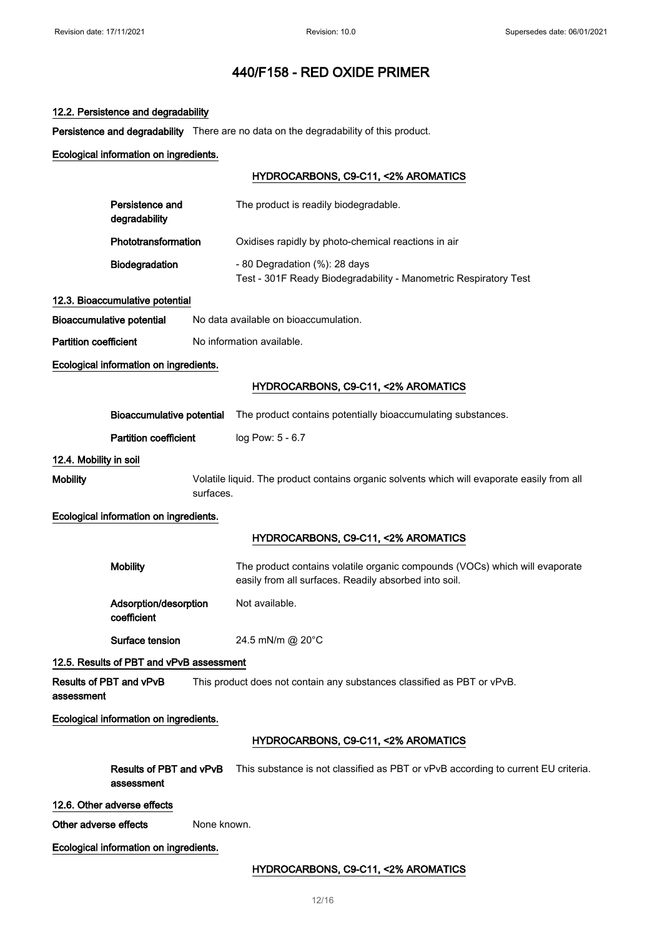# 12.2. Persistence and degradability

Persistence and degradability There are no data on the degradability of this product.

# Ecological information on ingredients.

# HYDROCARBONS, C9-C11, <2% AROMATICS

|                              | Persistence and<br>degradability                                                                         |             | The product is readily biodegradable.                                                                                                |
|------------------------------|----------------------------------------------------------------------------------------------------------|-------------|--------------------------------------------------------------------------------------------------------------------------------------|
|                              | Phototransformation                                                                                      |             | Oxidises rapidly by photo-chemical reactions in air                                                                                  |
|                              | <b>Biodegradation</b>                                                                                    |             | - 80 Degradation (%): 28 days<br>Test - 301F Ready Biodegradability - Manometric Respiratory Test                                    |
|                              | 12.3. Bioaccumulative potential                                                                          |             |                                                                                                                                      |
|                              | <b>Bioaccumulative potential</b>                                                                         |             | No data available on bioaccumulation.                                                                                                |
| <b>Partition coefficient</b> |                                                                                                          |             | No information available.                                                                                                            |
|                              | Ecological information on ingredients.                                                                   |             |                                                                                                                                      |
|                              |                                                                                                          |             | HYDROCARBONS, C9-C11, <2% AROMATICS                                                                                                  |
|                              | <b>Bioaccumulative potential</b>                                                                         |             | The product contains potentially bioaccumulating substances.                                                                         |
|                              | <b>Partition coefficient</b>                                                                             |             | log Pow: 5 - 6.7                                                                                                                     |
| 12.4. Mobility in soil       |                                                                                                          |             |                                                                                                                                      |
| <b>Mobility</b>              | Volatile liquid. The product contains organic solvents which will evaporate easily from all<br>surfaces. |             |                                                                                                                                      |
|                              | Ecological information on ingredients.                                                                   |             |                                                                                                                                      |
|                              |                                                                                                          |             | HYDROCARBONS, C9-C11, <2% AROMATICS                                                                                                  |
|                              | <b>Mobility</b>                                                                                          |             | The product contains volatile organic compounds (VOCs) which will evaporate<br>easily from all surfaces. Readily absorbed into soil. |
|                              | Adsorption/desorption<br>coefficient                                                                     |             | Not available.                                                                                                                       |
|                              | Surface tension                                                                                          |             | 24.5 mN/m @ 20°C                                                                                                                     |
|                              | 12.5. Results of PBT and vPvB assessment                                                                 |             |                                                                                                                                      |
| assessment                   | Results of PBT and vPvB                                                                                  |             | This product does not contain any substances classified as PBT or vPvB.                                                              |
|                              | Ecological information on ingredients.                                                                   |             |                                                                                                                                      |
|                              |                                                                                                          |             | HYDROCARBONS, C9-C11, <2% AROMATICS                                                                                                  |
|                              | Results of PBT and vPvB<br>assessment                                                                    |             | This substance is not classified as PBT or vPvB according to current EU criteria.                                                    |
|                              | 12.6. Other adverse effects                                                                              |             |                                                                                                                                      |
| Other adverse effects        |                                                                                                          | None known. |                                                                                                                                      |

Ecological information on ingredients.

# HYDROCARBONS, C9-C11, <2% AROMATICS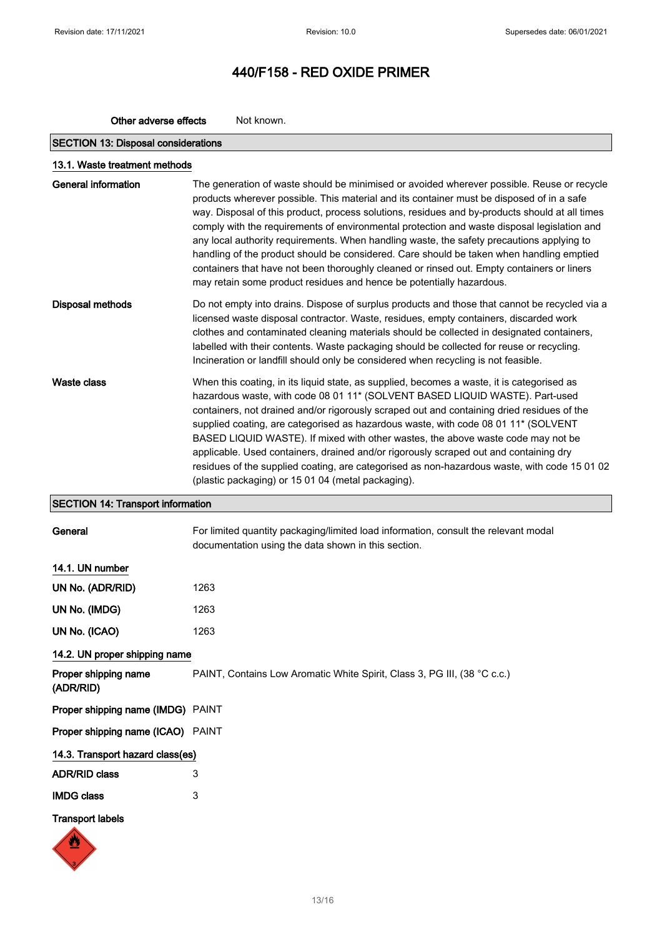| Other adverse effects | Not known. |
|-----------------------|------------|
|                       |            |

# SECTION 13: Disposal considerations

| 13.1. Waste treatment methods |                                                                                                                                                                                                                                                                                                                                                                                                                                                                                                                                                                                                                                                                                                                                                         |
|-------------------------------|---------------------------------------------------------------------------------------------------------------------------------------------------------------------------------------------------------------------------------------------------------------------------------------------------------------------------------------------------------------------------------------------------------------------------------------------------------------------------------------------------------------------------------------------------------------------------------------------------------------------------------------------------------------------------------------------------------------------------------------------------------|
| <b>General information</b>    | The generation of waste should be minimised or avoided wherever possible. Reuse or recycle<br>products wherever possible. This material and its container must be disposed of in a safe<br>way. Disposal of this product, process solutions, residues and by-products should at all times<br>comply with the requirements of environmental protection and waste disposal legislation and<br>any local authority requirements. When handling waste, the safety precautions applying to<br>handling of the product should be considered. Care should be taken when handling emptied<br>containers that have not been thoroughly cleaned or rinsed out. Empty containers or liners<br>may retain some product residues and hence be potentially hazardous. |
| <b>Disposal methods</b>       | Do not empty into drains. Dispose of surplus products and those that cannot be recycled via a<br>licensed waste disposal contractor. Waste, residues, empty containers, discarded work<br>clothes and contaminated cleaning materials should be collected in designated containers,<br>labelled with their contents. Waste packaging should be collected for reuse or recycling.<br>Incineration or landfill should only be considered when recycling is not feasible.                                                                                                                                                                                                                                                                                  |
| Waste class                   | When this coating, in its liquid state, as supplied, becomes a waste, it is categorised as<br>hazardous waste, with code 08 01 11* (SOLVENT BASED LIQUID WASTE). Part-used<br>containers, not drained and/or rigorously scraped out and containing dried residues of the<br>supplied coating, are categorised as hazardous waste, with code 08 01 11 <sup>*</sup> (SOLVENT<br>BASED LIQUID WASTE). If mixed with other wastes, the above waste code may not be<br>applicable. Used containers, drained and/or rigorously scraped out and containing dry<br>residues of the supplied coating, are categorised as non-hazardous waste, with code 15 01 02<br>(plastic packaging) or 15 01 04 (metal packaging).                                           |

# SECTION 14: Transport information

| General |  |
|---------|--|
|         |  |
|         |  |

For limited quantity packaging/limited load information, consult the relevant modal documentation using the data shown in this section.

## 14.1. UN number

| UN No. (ADR/RID) | 1263 |
|------------------|------|
| UN No. (IMDG)    | 1263 |
| UN No. (ICAO)    | 1263 |

# 14.2. UN proper shipping name

Proper shipping name (ADR/RID) PAINT, Contains Low Aromatic White Spirit, Class 3, PG III, (38 °C c.c.) Proper shipping name (IMDG) PAINT Proper shipping name (ICAO) PAINT 14.3. Transport hazard class(es) ADR/RID class 3

IMDG class 3

## Transport labels

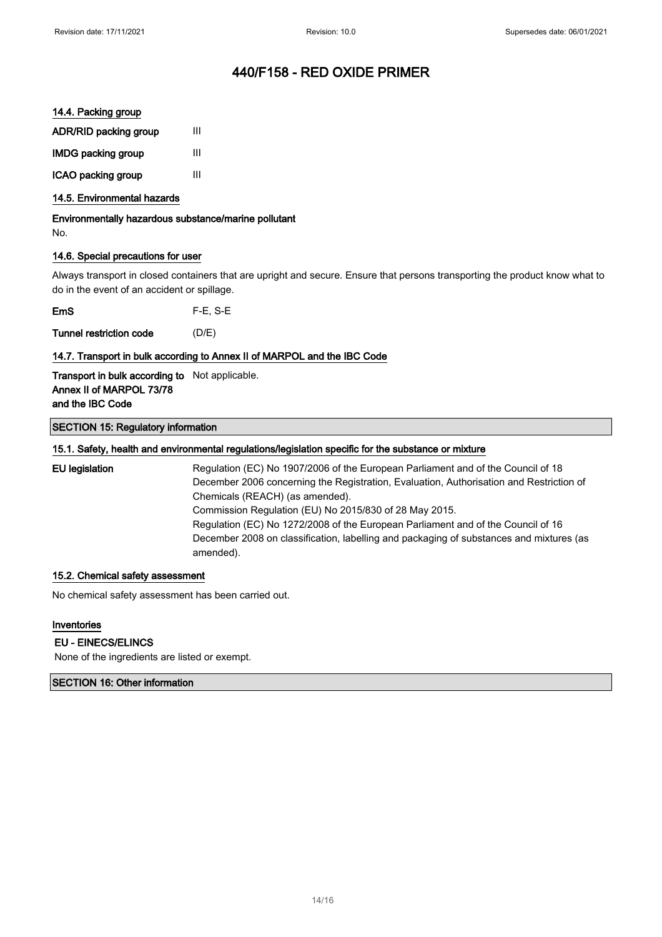## 14.4. Packing group

| ADR/RID packing group     | Ш |
|---------------------------|---|
| <b>IMDG packing group</b> | ш |
| ICAO packing group        | Ш |

## 14.5. Environmental hazards

Environmentally hazardous substance/marine pollutant No.

## 14.6. Special precautions for user

Always transport in closed containers that are upright and secure. Ensure that persons transporting the product know what to do in the event of an accident or spillage.

EmS F-E, S-E

Tunnel restriction code (D/E)

## 14.7. Transport in bulk according to Annex II of MARPOL and the IBC Code

Transport in bulk according to Not applicable. Annex II of MARPOL 73/78 and the IBC Code

#### SECTION 15: Regulatory information

#### 15.1. Safety, health and environmental regulations/legislation specific for the substance or mixture

EU legislation Regulation (EC) No 1907/2006 of the European Parliament and of the Council of 18 December 2006 concerning the Registration, Evaluation, Authorisation and Restriction of Chemicals (REACH) (as amended). Commission Regulation (EU) No 2015/830 of 28 May 2015. Regulation (EC) No 1272/2008 of the European Parliament and of the Council of 16 December 2008 on classification, labelling and packaging of substances and mixtures (as amended).

#### 15.2. Chemical safety assessment

No chemical safety assessment has been carried out.

# Inventories

## EU - EINECS/ELINCS

None of the ingredients are listed or exempt.

#### SECTION 16: Other information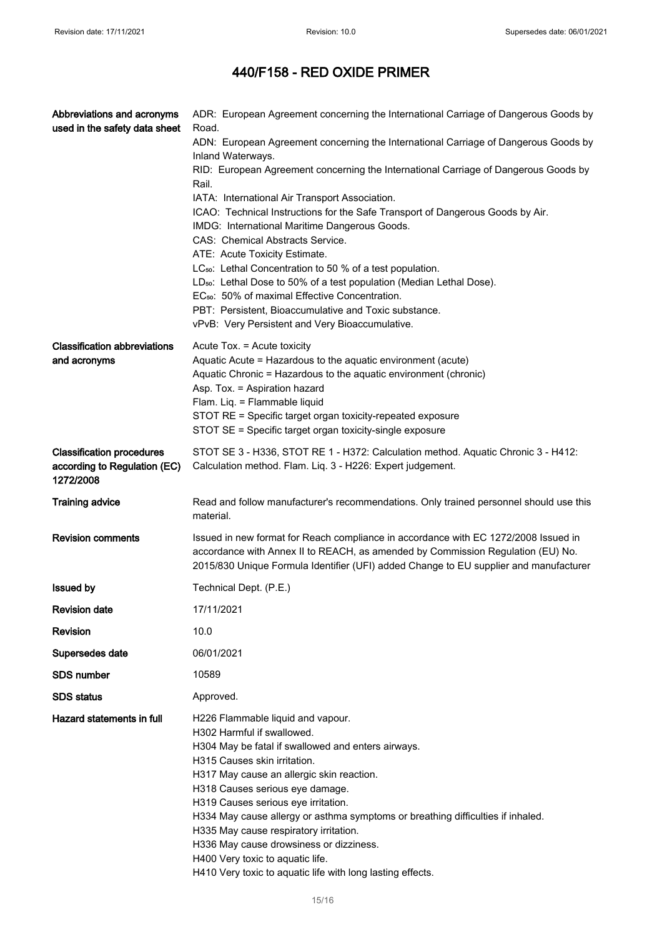| Abbreviations and acronyms<br>used in the safety data sheet                   | ADR: European Agreement concerning the International Carriage of Dangerous Goods by<br>Road.                                                                                                                                                                                                                                                                                                                                                                                                                                                           |
|-------------------------------------------------------------------------------|--------------------------------------------------------------------------------------------------------------------------------------------------------------------------------------------------------------------------------------------------------------------------------------------------------------------------------------------------------------------------------------------------------------------------------------------------------------------------------------------------------------------------------------------------------|
|                                                                               | ADN: European Agreement concerning the International Carriage of Dangerous Goods by<br>Inland Waterways.                                                                                                                                                                                                                                                                                                                                                                                                                                               |
|                                                                               | RID: European Agreement concerning the International Carriage of Dangerous Goods by<br>Rail.                                                                                                                                                                                                                                                                                                                                                                                                                                                           |
|                                                                               | IATA: International Air Transport Association.                                                                                                                                                                                                                                                                                                                                                                                                                                                                                                         |
|                                                                               | ICAO: Technical Instructions for the Safe Transport of Dangerous Goods by Air.<br>IMDG: International Maritime Dangerous Goods.                                                                                                                                                                                                                                                                                                                                                                                                                        |
|                                                                               | CAS: Chemical Abstracts Service.                                                                                                                                                                                                                                                                                                                                                                                                                                                                                                                       |
|                                                                               | ATE: Acute Toxicity Estimate.                                                                                                                                                                                                                                                                                                                                                                                                                                                                                                                          |
|                                                                               | LC <sub>50</sub> : Lethal Concentration to 50 % of a test population.                                                                                                                                                                                                                                                                                                                                                                                                                                                                                  |
|                                                                               | LD <sub>50</sub> : Lethal Dose to 50% of a test population (Median Lethal Dose).<br>EC <sub>50</sub> : 50% of maximal Effective Concentration.                                                                                                                                                                                                                                                                                                                                                                                                         |
|                                                                               | PBT: Persistent, Bioaccumulative and Toxic substance.                                                                                                                                                                                                                                                                                                                                                                                                                                                                                                  |
|                                                                               | vPvB: Very Persistent and Very Bioaccumulative.                                                                                                                                                                                                                                                                                                                                                                                                                                                                                                        |
| <b>Classification abbreviations</b>                                           | Acute Tox. = Acute toxicity                                                                                                                                                                                                                                                                                                                                                                                                                                                                                                                            |
| and acronyms                                                                  | Aquatic Acute = Hazardous to the aquatic environment (acute)<br>Aquatic Chronic = Hazardous to the aquatic environment (chronic)                                                                                                                                                                                                                                                                                                                                                                                                                       |
|                                                                               | Asp. Tox. = Aspiration hazard                                                                                                                                                                                                                                                                                                                                                                                                                                                                                                                          |
|                                                                               | Flam. Liq. = Flammable liquid                                                                                                                                                                                                                                                                                                                                                                                                                                                                                                                          |
|                                                                               | STOT RE = Specific target organ toxicity-repeated exposure                                                                                                                                                                                                                                                                                                                                                                                                                                                                                             |
|                                                                               | STOT SE = Specific target organ toxicity-single exposure                                                                                                                                                                                                                                                                                                                                                                                                                                                                                               |
| <b>Classification procedures</b><br>according to Regulation (EC)<br>1272/2008 | STOT SE 3 - H336, STOT RE 1 - H372: Calculation method. Aquatic Chronic 3 - H412:<br>Calculation method. Flam. Liq. 3 - H226: Expert judgement.                                                                                                                                                                                                                                                                                                                                                                                                        |
| <b>Training advice</b>                                                        | Read and follow manufacturer's recommendations. Only trained personnel should use this<br>material.                                                                                                                                                                                                                                                                                                                                                                                                                                                    |
| <b>Revision comments</b>                                                      | Issued in new format for Reach compliance in accordance with EC 1272/2008 Issued in<br>accordance with Annex II to REACH, as amended by Commission Regulation (EU) No.<br>2015/830 Unique Formula Identifier (UFI) added Change to EU supplier and manufacturer                                                                                                                                                                                                                                                                                        |
| <b>Issued by</b>                                                              | Technical Dept. (P.E.)                                                                                                                                                                                                                                                                                                                                                                                                                                                                                                                                 |
| <b>Revision date</b>                                                          | 17/11/2021                                                                                                                                                                                                                                                                                                                                                                                                                                                                                                                                             |
| <b>Revision</b>                                                               | 10.0                                                                                                                                                                                                                                                                                                                                                                                                                                                                                                                                                   |
| Supersedes date                                                               | 06/01/2021                                                                                                                                                                                                                                                                                                                                                                                                                                                                                                                                             |
| <b>SDS number</b>                                                             | 10589                                                                                                                                                                                                                                                                                                                                                                                                                                                                                                                                                  |
| <b>SDS</b> status                                                             | Approved.                                                                                                                                                                                                                                                                                                                                                                                                                                                                                                                                              |
| Hazard statements in full                                                     | H226 Flammable liquid and vapour.<br>H302 Harmful if swallowed.<br>H304 May be fatal if swallowed and enters airways.<br>H315 Causes skin irritation.<br>H317 May cause an allergic skin reaction.<br>H318 Causes serious eye damage.<br>H319 Causes serious eye irritation.<br>H334 May cause allergy or asthma symptoms or breathing difficulties if inhaled.<br>H335 May cause respiratory irritation.<br>H336 May cause drowsiness or dizziness.<br>H400 Very toxic to aquatic life.<br>H410 Very toxic to aquatic life with long lasting effects. |